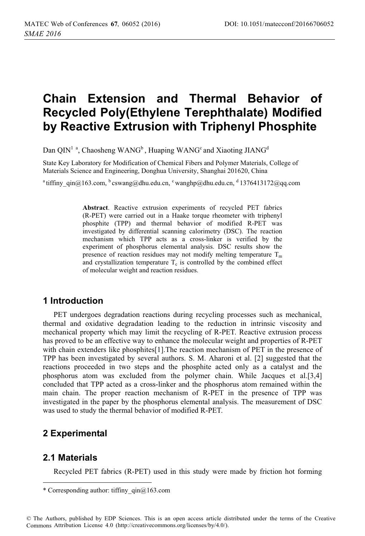# **Chain Extension and Thermal Behavior of Recycled Poly(Ethylene Terephthalate) Modified by Reactive Extrusion with Triphenyl Phosphite**

Dan QIN<sup>1</sup><sup>a</sup>, Chaosheng WANG<sup>b</sup>, Huaping WANG<sup>c</sup> and Xiaoting JIANG<sup>d</sup>

State Key Laboratory for Modification of Chemical Fibers and Polymer Materials, College of Materials Science and Engineering, Donghua University, Shanghai 201620, China

<sup>a</sup> tiffiny qin@163.com, <sup>b</sup> cswang@dhu.edu.cn, <sup>c</sup> wanghp@dhu.edu.cn, <sup>d</sup> 1376413172@qq.com

**Abstract**. Reactive extrusion experiments of recycled PET fabrics (R-PET) were carried out in a Haake torque rheometer with triphenyl phosphite (TPP) and thermal behavior of modified R-PET was investigated by differential scanning calorimetry (DSC). The reaction mechanism which TPP acts as a cross-linker is verified by the experiment of phosphorus elemental analysis. DSC results show the presence of reaction residues may not modify melting temperature  $T_m$ and crystallization temperature  $T_c$  is controlled by the combined effect of molecular weight and reaction residues.

## **1 Introduction**

PET undergoes degradation reactions during recycling processes such as mechanical, thermal and oxidative degradation leading to the reduction in intrinsic viscosity and mechanical property which may limit the recycling of R-PET. Reactive extrusion process has proved to be an effective way to enhance the molecular weight and properties of R-PET with chain extenders like phosphites[1].The reaction mechanism of PET in the presence of TPP has been investigated by several authors. S. M. Aharoni et al. [2] suggested that the reactions proceeded in two steps and the phosphite acted only as a catalyst and the phosphorus atom was excluded from the polymer chain. While Jacques et al.[3,4] concluded that TPP acted as a cross-linker and the phosphorus atom remained within the main chain. The proper reaction mechanism of R-PET in the presence of TPP was investigated in the paper by the phosphorus elemental analysis. The measurement of DSC was used to study the thermal behavior of modified R-PET.

# **2 Experimental**

## **2.1 Materials**

---------------------------------

Recycled PET fabrics (R-PET) used in this study were made by friction hot forming

---------------------

<sup>-</sup>-----\* Corresponding author: tiffiny  $qin@163$ .com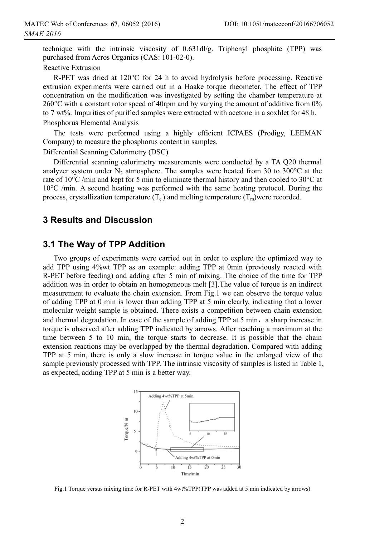technique with the intrinsic viscosity of 0.631dl/g. Triphenyl phosphite (TPP) was purchased from Acros Organics (CAS: 101-02-0).

Reactive Extrusion

R-PET was dried at 120°C for 24 h to avoid hydrolysis before processing. Reactive extrusion experiments were carried out in a Haake torque rheometer. The effect of TPP concentration on the modification was investigated by setting the chamber temperature at 260°C with a constant rotor speed of 40rpm and by varying the amount of additive from 0% to 7 wt%. Impurities of purified samples were extracted with acetone in a soxhlet for 48 h. Phosphorus Elemental Analysis

The tests were performed using a highly efficient ICPAES (Prodigy, LEEMAN Company) to measure the phosphorus content in samples.

Differential Scanning Calorimetry (DSC)

Differential scanning calorimetry measurements were conducted by a TA Q20 thermal analyzer system under  $N_2$  atmosphere. The samples were heated from 30 to 300 $^{\circ}$ C at the rate of  $10^{\circ}$ C /min and kept for 5 min to eliminate thermal history and then cooled to  $30^{\circ}$ C at 10°C /min. A second heating was performed with the same heating protocol. During the process, crystallization temperature  $(T_c)$  and melting temperature  $(T_m)$ were recorded.

#### **3 Results and Discussion**

#### **3.1 The Way of TPP Addition**

Two groups of experiments were carried out in order to explore the optimized way to add TPP using 4%wt TPP as an example: adding TPP at 0min (previously reacted with R-PET before feeding) and adding after 5 min of mixing. The choice of the time for TPP addition was in order to obtain an homogeneous melt [3].The value of torque is an indirect measurement to evaluate the chain extension. From Fig.1 we can observe the torque value of adding TPP at 0 min is lower than adding TPP at 5 min clearly, indicating that a lower molecular weight sample is obtained. There exists a competition between chain extension and thermal degradation. In case of the sample of adding TPP at  $5$  min, a sharp increase in torque is observed after adding TPP indicated by arrows. After reaching a maximum at the time between 5 to 10 min, the torque starts to decrease. It is possible that the chain extension reactions may be overlapped by the thermal degradation. Compared with adding TPP at 5 min, there is only a slow increase in torque value in the enlarged view of the sample previously processed with TPP. The intrinsic viscosity of samples is listed in Table 1, as expected, adding TPP at 5 min is a better way.



Fig.1 Torque versus mixing time for R-PET with 4wt%TPP(TPP was added at 5 min indicated by arrows)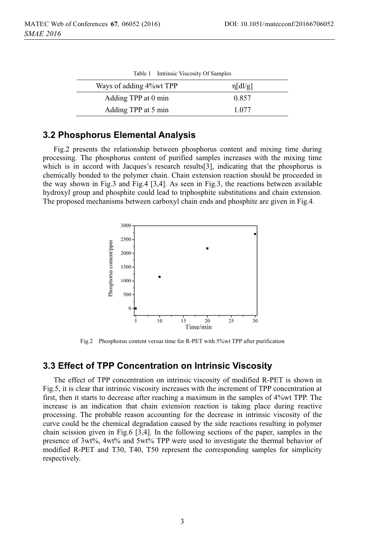| Table 1 Intrinsic Viscosity Of Samples |               |
|----------------------------------------|---------------|
| Ways of adding 4% wt TPP               | $\eta$ [dl/g] |
| Adding TPP at 0 min                    | 0.857         |
| Adding TPP at 5 min                    | 1.077         |

#### **3.2 Phosphorus Elemental Analysis**

Fig.2 presents the relationship between phosphorus content and mixing time during processing. The phosphorus content of purified samples increases with the mixing time which is in accord with Jacques's research results[3], indicating that the phosphorus is chemically bonded to the polymer chain. Chain extension reaction should be proceeded in the way shown in Fig.3 and Fig.4 [3,4]. As seen in Fig.3, the reactions between available hydroxyl group and phosphite could lead to triphosphite substitutions and chain extension. The proposed mechanisms between carboxyl chain ends and phosphite are given in Fig.4.



Fig.2 Phosphorus content versus time for R-PET with 5%wt TPP after purification

#### **3.3 Effect of TPP Concentration on Intrinsic Viscosity**

The effect of TPP concentration on intrinsic viscosity of modified R-PET is shown in Fig.5, it is clear that intrinsic viscosity increases with the increment of TPP concentration at first, then it starts to decrease after reaching a maximum in the samples of 4%wt TPP. The increase is an indication that chain extension reaction is taking place during reactive processing. The probable reason accounting for the decrease in intrinsic viscosity of the curve could be the chemical degradation caused by the side reactions resulting in polymer chain scission given in Fig.6 [3,4]. In the following sections of the paper, samples in the presence of 3wt%, 4wt% and 5wt% TPP were used to investigate the thermal behavior of modified R-PET and T30, T40, T50 represent the corresponding samples for simplicity respectively.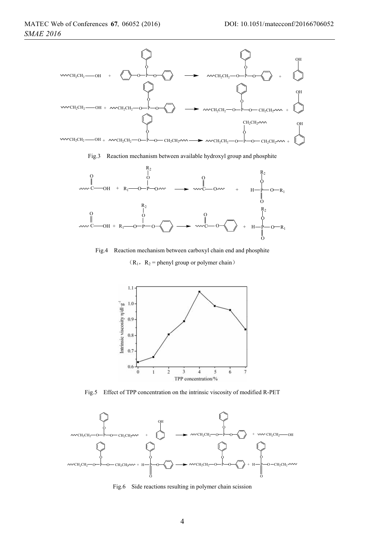#### MATEC Web of Conferences 67, 06052 (2016) *SMAE 2016*



Fig.3 Reaction mechanism between available hydroxyl group and phosphite



Fig.4 Reaction mechanism between carboxyl chain end and phosphite  $(R_1, R_2$  = phenyl group or polymer chain)



Fig.5 Effect of TPP concentration on the intrinsic viscosity of modified R-PET



Fig.6 Side reactions resulting in polymer chain scission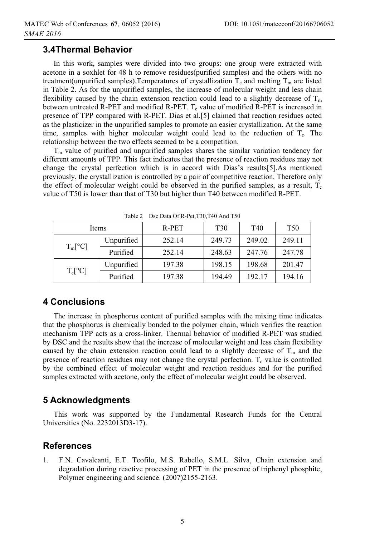### **3.4Thermal Behavior**

In this work, samples were divided into two groups: one group were extracted with acetone in a soxhlet for 48 h to remove residues(purified samples) and the others with no treatment(unpurified samples). Temperatures of crystallization  $T_c$  and melting  $T_m$  are listed in Table 2. As for the unpurified samples, the increase of molecular weight and less chain flexibility caused by the chain extension reaction could lead to a slightly decrease of  $T_m$ between untreated R-PET and modified R-PET.  $T_c$  value of modified R-PET is increased in presence of TPP compared with R-PET. Dias et al.[5] claimed that reaction residues acted as the plasticizer in the unpurified samples to promote an easier crystallization. At the same time, samples with higher molecular weight could lead to the reduction of  $T_c$ . The relationship between the two effects seemed to be a competition.

 $T<sub>m</sub>$  value of purified and unpurified samples shares the similar variation tendency for different amounts of TPP. This fact indicates that the presence of reaction residues may not change the crystal perfection which is in accord with Dias's results[5].As mentioned previously, the crystallization is controlled by a pair of competitive reaction. Therefore only the effect of molecular weight could be observed in the purified samples, as a result,  $T_c$ value of T50 is lower than that of T30 but higher than T40 between modified R-PET.

| Items            |            | R-PET  | T <sub>30</sub> | T40    | <b>T50</b> |  |
|------------------|------------|--------|-----------------|--------|------------|--|
| $T_m[^{\circ}C]$ | Unpurified | 252.14 | 249.73          | 249.02 | 249.11     |  |
|                  | Purified   | 252.14 | 248.63          | 247.76 | 247.78     |  |
| $T_c[^{\circ}C]$ | Unpurified | 197.38 | 198.15          | 198.68 | 201.47     |  |
|                  | Purified   | 197.38 | 194.49          | 192.17 | 194.16     |  |

Table 2 Dsc Data Of R-Pet,T30,T40 And T50

# **4 Conclusions**

The increase in phosphorus content of purified samples with the mixing time indicates that the phosphorus is chemically bonded to the polymer chain, which verifies the reaction mechanism TPP acts as a cross-linker. Thermal behavior of modified R-PET was studied by DSC and the results show that the increase of molecular weight and less chain flexibility caused by the chain extension reaction could lead to a slightly decrease of  $T_m$  and the presence of reaction residues may not change the crystal perfection.  $T_c$  value is controlled by the combined effect of molecular weight and reaction residues and for the purified samples extracted with acetone, only the effect of molecular weight could be observed.

# **5 Acknowledgments**

This work was supported by the Fundamental Research Funds for the Central Universities (No. 2232013D3-17).

## **References**

1. F.N. Cavalcanti, E.T. Teofilo, M.S. Rabello, S.M.L. Silva, Chain extension and degradation during reactive processing of PET in the presence of triphenyl phosphite, Polymer engineering and science. (2007)2155-2163.